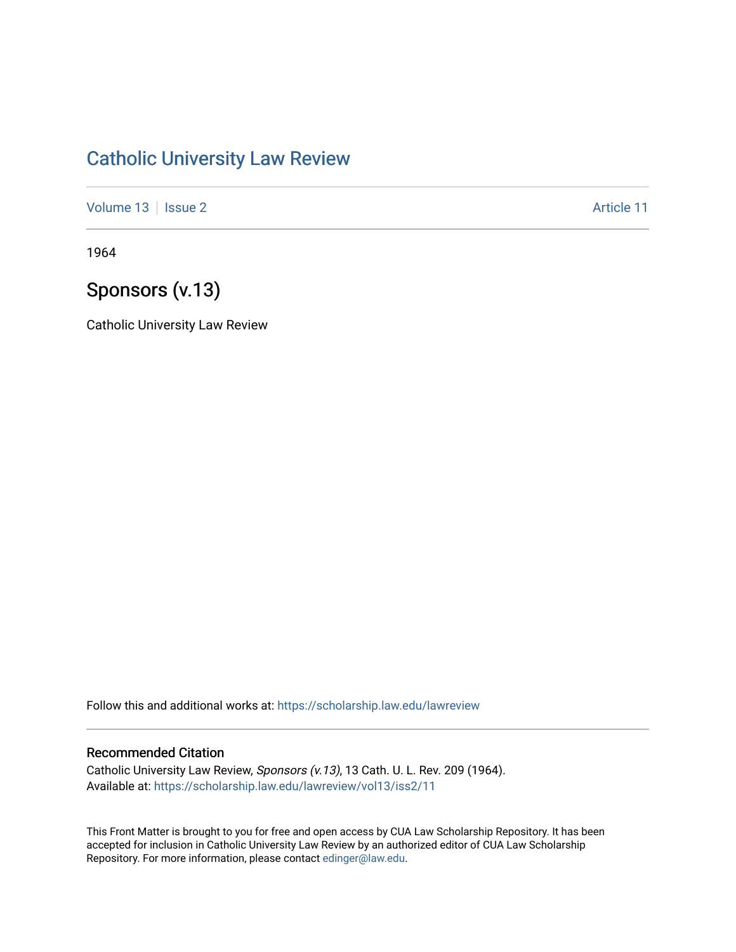## [Catholic University Law Review](https://scholarship.law.edu/lawreview)

[Volume 13](https://scholarship.law.edu/lawreview/vol13) | [Issue 2](https://scholarship.law.edu/lawreview/vol13/iss2) Article 11

1964

# Sponsors (v.13)

Catholic University Law Review

Follow this and additional works at: [https://scholarship.law.edu/lawreview](https://scholarship.law.edu/lawreview?utm_source=scholarship.law.edu%2Flawreview%2Fvol13%2Fiss2%2F11&utm_medium=PDF&utm_campaign=PDFCoverPages)

## Recommended Citation

Catholic University Law Review, Sponsors (v.13), 13 Cath. U. L. Rev. 209 (1964). Available at: [https://scholarship.law.edu/lawreview/vol13/iss2/11](https://scholarship.law.edu/lawreview/vol13/iss2/11?utm_source=scholarship.law.edu%2Flawreview%2Fvol13%2Fiss2%2F11&utm_medium=PDF&utm_campaign=PDFCoverPages) 

This Front Matter is brought to you for free and open access by CUA Law Scholarship Repository. It has been accepted for inclusion in Catholic University Law Review by an authorized editor of CUA Law Scholarship Repository. For more information, please contact [edinger@law.edu.](mailto:edinger@law.edu)